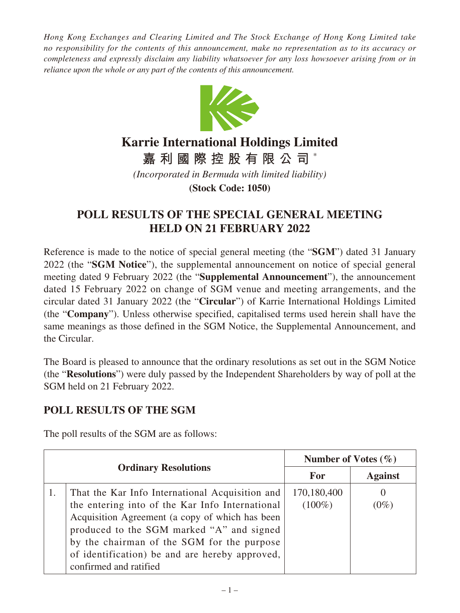*Hong Kong Exchanges and Clearing Limited and The Stock Exchange of Hong Kong Limited take no responsibility for the contents of this announcement, make no representation as to its accuracy or completeness and expressly disclaim any liability whatsoever for any loss howsoever arising from or in reliance upon the whole or any part of the contents of this announcement.*



## **Karrie International Holdings Limited**

**嘉利國際控股有限公司** \*

*(Incorporated in Bermuda with limited liability)*

**(Stock Code: 1050)**

## **POLL RESULTS OF THE SPECIAL GENERAL MEETING HELD ON 21 FEBRUARY 2022**

Reference is made to the notice of special general meeting (the "**SGM**") dated 31 January 2022 (the "**SGM Notice**"), the supplemental announcement on notice of special general meeting dated 9 February 2022 (the "**Supplemental Announcement**"), the announcement dated 15 February 2022 on change of SGM venue and meeting arrangements, and the circular dated 31 January 2022 (the "**Circular**") of Karrie International Holdings Limited (the "**Company**"). Unless otherwise specified, capitalised terms used herein shall have the same meanings as those defined in the SGM Notice, the Supplemental Announcement, and the Circular.

The Board is pleased to announce that the ordinary resolutions as set out in the SGM Notice (the "**Resolutions**") were duly passed by the Independent Shareholders by way of poll at the SGM held on 21 February 2022.

## **POLL RESULTS OF THE SGM**

The poll results of the SGM are as follows:

| <b>Ordinary Resolutions</b> |                                                                                                                                            | Number of Votes $(\% )$  |                     |
|-----------------------------|--------------------------------------------------------------------------------------------------------------------------------------------|--------------------------|---------------------|
|                             |                                                                                                                                            | <b>For</b>               | <b>Against</b>      |
|                             | That the Kar Info International Acquisition and<br>the entering into of the Kar Info International                                         | 170,180,400<br>$(100\%)$ | $\theta$<br>$(0\%)$ |
|                             | Acquisition Agreement (a copy of which has been<br>produced to the SGM marked "A" and signed<br>by the chairman of the SGM for the purpose |                          |                     |
|                             | of identification) be and are hereby approved,<br>confirmed and ratified                                                                   |                          |                     |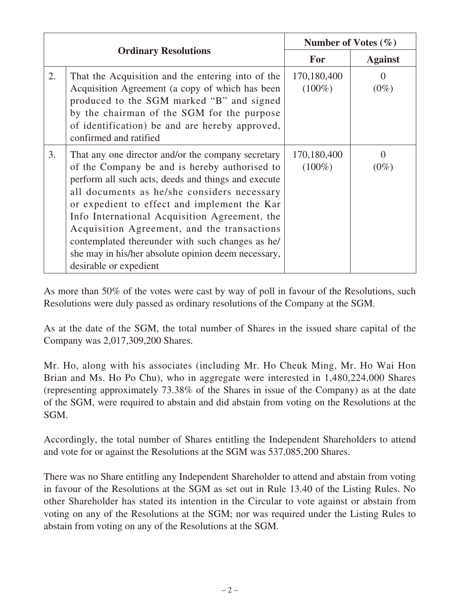| <b>Ordinary Resolutions</b> |                                                                                                                                                                                                                                                                                                                                                                                                                                                                                                | Number of Votes $(\% )$  |                              |
|-----------------------------|------------------------------------------------------------------------------------------------------------------------------------------------------------------------------------------------------------------------------------------------------------------------------------------------------------------------------------------------------------------------------------------------------------------------------------------------------------------------------------------------|--------------------------|------------------------------|
|                             |                                                                                                                                                                                                                                                                                                                                                                                                                                                                                                | <b>For</b>               | <b>Against</b>               |
| 2.                          | That the Acquisition and the entering into of the<br>Acquisition Agreement (a copy of which has been<br>produced to the SGM marked "B" and signed<br>by the chairman of the SGM for the purpose<br>of identification) be and are hereby approved,<br>confirmed and ratified                                                                                                                                                                                                                    | 170,180,400<br>$(100\%)$ | $\Omega$<br>$(0\%)$          |
| 3.                          | That any one director and/or the company secretary<br>of the Company be and is hereby authorised to<br>perform all such acts, deeds and things and execute<br>all documents as he/she considers necessary<br>or expedient to effect and implement the Kar<br>Info International Acquisition Agreement, the<br>Acquisition Agreement, and the transactions<br>contemplated thereunder with such changes as he/<br>she may in his/her absolute opinion deem necessary,<br>desirable or expedient | 170,180,400<br>$(100\%)$ | $\mathbf{\Omega}$<br>$(0\%)$ |

As more than 50% of the votes were cast by way of poll in favour of the Resolutions, such Resolutions were duly passed as ordinary resolutions of the Company at the SGM.

As at the date of the SGM, the total number of Shares in the issued share capital of the Company was 2,017,309,200 Shares.

Mr. Ho, along with his associates (including Mr. Ho Cheuk Ming, Mr. Ho Wai Hon Brian and Ms. Ho Po Chu), who in aggregate were interested in 1,480,224,000 Shares (representing approximately 73.38% of the Shares in issue of the Company) as at the date of the SGM, were required to abstain and did abstain from voting on the Resolutions at the SGM.

Accordingly, the total number of Shares entitling the Independent Shareholders to attend and vote for or against the Resolutions at the SGM was 537,085,200 Shares.

There was no Share entitling any Independent Shareholder to attend and abstain from voting in favour of the Resolutions at the SGM as set out in Rule 13.40 of the Listing Rules. No other Shareholder has stated its intention in the Circular to vote against or abstain from voting on any of the Resolutions at the SGM; nor was required under the Listing Rules to abstain from voting on any of the Resolutions at the SGM.